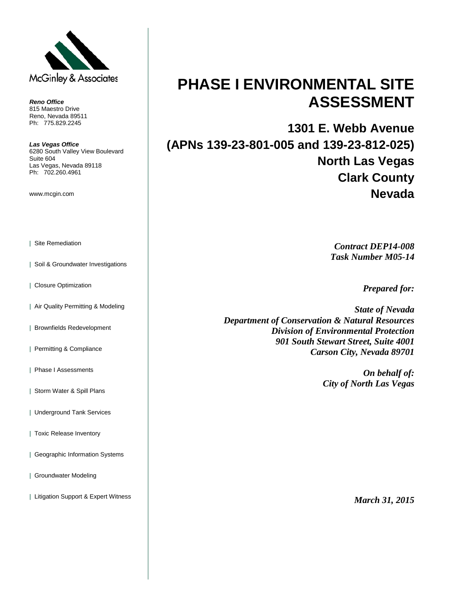

*Reno Office* 815 Maestro Drive Reno, Nevada 89511 Ph: 775.829.2245

*Las Vegas Office* 6280 South Valley View Boulevard Suite 604 Las Vegas, Nevada 89118 Ph: 702.260.4961

www.mcgin.com

- | Site Remediation
- | Soil & Groundwater Investigations
- | Closure Optimization
- | Air Quality Permitting & Modeling
- | Brownfields Redevelopment
- | Permitting & Compliance
- | Phase I Assessments
- | Storm Water & Spill Plans
- | Underground Tank Services
- | Toxic Release Inventory
- | Geographic Information Systems
- | Groundwater Modeling
- | Litigation Support & Expert Witness

# **PHASE I ENVIRONMENTAL SITE ASSESSMENT**

**1301 E. Webb Avenue (APNs 139-23-801-005 and 139-23-812-025) North Las Vegas Clark County Nevada**

> *Contract DEP14-008 Task Number M05-14*

> > *Prepared for:*

*State of Nevada Department of Conservation & Natural Resources Division of Environmental Protection 901 South Stewart Street, Suite 4001 Carson City, Nevada 89701*

> *On behalf of: City of North Las Vegas*

> > *March 31, 2015*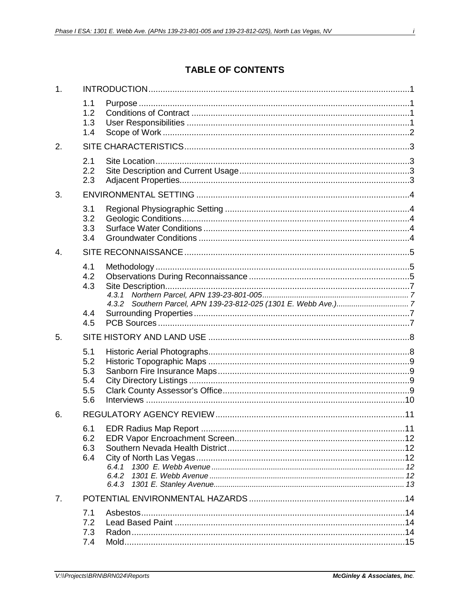$\lambda$ 

## **TABLE OF CONTENTS**

| 1. |                                        |                |  |
|----|----------------------------------------|----------------|--|
|    | 1.1<br>1.2<br>1.3<br>1.4               |                |  |
| 2. |                                        |                |  |
|    | 2.1<br>2.2<br>2.3                      |                |  |
| 3. |                                        |                |  |
|    | 3.1<br>3.2<br>3.3<br>3.4               |                |  |
| 4. |                                        |                |  |
|    | 4.1<br>4.2<br>4.3                      |                |  |
|    | 4.4<br>4.5                             |                |  |
| 5. |                                        |                |  |
|    | 5.1<br>5.2<br>5.3<br>5.4<br>5.5<br>5.6 |                |  |
| 6. |                                        |                |  |
|    | 6.2<br>6.3<br>6.4                      | 6.4.2<br>6.4.3 |  |
| 7. |                                        |                |  |
|    | 7.1<br>7.2<br>7.3<br>7.4               |                |  |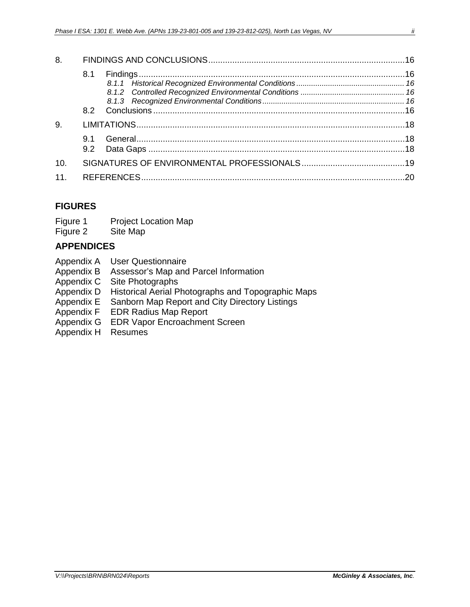| 8.  |     |  |  |
|-----|-----|--|--|
|     | 8.1 |  |  |
| 9.  |     |  |  |
|     |     |  |  |
| 10. |     |  |  |
| 11. |     |  |  |

### **FIGURES**

Figure 2 Site Map

#### **APPENDICES**

- Appendix A User Questionnaire
- Appendix B Assessor's Map and Parcel Information
- Appendix C Site Photographs<br>Appendix D Historical Aerial P
- Historical Aerial Photographs and Topographic Maps
- Appendix E Sanborn Map Report and City Directory Listings<br>Appendix F EDR Radius Map Report
- **EDR Radius Map Report**
- Appendix G EDR Vapor Encroachment Screen
- Appendix H Resumes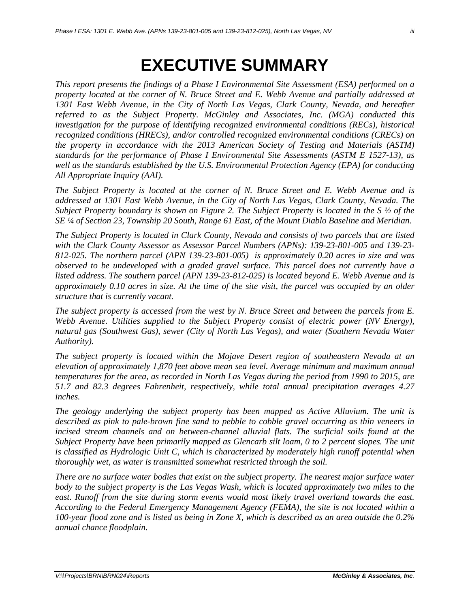# **EXECUTIVE SUMMARY**

*This report presents the findings of a Phase I Environmental Site Assessment (ESA) performed on a property located at the corner of N. Bruce Street and E. Webb Avenue and partially addressed at 1301 East Webb Avenue, in the City of North Las Vegas, Clark County, Nevada, and hereafter referred to as the Subject Property. McGinley and Associates, Inc. (MGA) conducted this investigation for the purpose of identifying recognized environmental conditions (RECs), historical recognized conditions (HRECs), and/or controlled recognized environmental conditions (CRECs) on the property in accordance with the 2013 American Society of Testing and Materials (ASTM) standards for the performance of Phase I Environmental Site Assessments (ASTM E 1527-13), as well as the standards established by the U.S. Environmental Protection Agency (EPA) for conducting All Appropriate Inquiry (AAI).*

*The Subject Property is located at the corner of N. Bruce Street and E. Webb Avenue and is addressed at 1301 East Webb Avenue, in the City of North Las Vegas, Clark County, Nevada. The Subject Property boundary is shown on Figure 2. The Subject Property is located in the S ½ of the SE ¼ of Section 23, Township 20 South, Range 61 East, of the Mount Diablo Baseline and Meridian.*

*The Subject Property is located in Clark County, Nevada and consists of two parcels that are listed with the Clark County Assessor as Assessor Parcel Numbers (APNs): 139-23-801-005 and 139-23- 812-025. The northern parcel (APN 139-23-801-005) is approximately 0.20 acres in size and was observed to be undeveloped with a graded gravel surface. This parcel does not currently have a listed address. The southern parcel (APN 139-23-812-025) is located beyond E. Webb Avenue and is approximately 0.10 acres in size. At the time of the site visit, the parcel was occupied by an older structure that is currently vacant.*

*The subject property is accessed from the west by N. Bruce Street and between the parcels from E. Webb Avenue. Utilities supplied to the Subject Property consist of electric power (NV Energy), natural gas (Southwest Gas), sewer (City of North Las Vegas), and water (Southern Nevada Water Authority).*

*The subject property is located within the Mojave Desert region of southeastern Nevada at an elevation of approximately 1,870 feet above mean sea level. Average minimum and maximum annual temperatures for the area, as recorded in North Las Vegas during the period from 1990 to 2015, are 51.7 and 82.3 degrees Fahrenheit, respectively, while total annual precipitation averages 4.27 inches.*

*The geology underlying the subject property has been mapped as Active Alluvium. The unit is described as pink to pale-brown fine sand to pebble to cobble gravel occurring as thin veneers in incised stream channels and on between-channel alluvial flats. The surficial soils found at the Subject Property have been primarily mapped as Glencarb silt loam, 0 to 2 percent slopes. The unit is classified as Hydrologic Unit C, which is characterized by moderately high runoff potential when thoroughly wet, as water is transmitted somewhat restricted through the soil.*

*There are no surface water bodies that exist on the subject property. The nearest major surface water body to the subject property is the Las Vegas Wash, which is located approximately two miles to the east. Runoff from the site during storm events would most likely travel overland towards the east. According to the Federal Emergency Management Agency (FEMA), the site is not located within a 100-year flood zone and is listed as being in Zone X, which is described as an area outside the 0.2% annual chance floodplain.*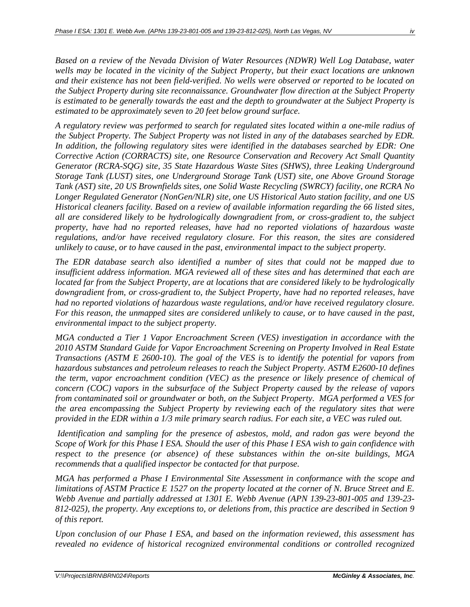*Based on a review of the Nevada Division of Water Resources (NDWR) Well Log Database, water wells may be located in the vicinity of the Subject Property, but their exact locations are unknown and their existence has not been field-verified. No wells were observed or reported to be located on the Subject Property during site reconnaissance. Groundwater flow direction at the Subject Property is estimated to be generally towards the east and the depth to groundwater at the Subject Property is estimated to be approximately seven to 20 feet below ground surface.* 

*A regulatory review was performed to search for regulated sites located within a one-mile radius of the Subject Property. The Subject Property was not listed in any of the databases searched by EDR. In addition, the following regulatory sites were identified in the databases searched by EDR: One Corrective Action (CORRACTS) site, one Resource Conservation and Recovery Act Small Quantity Generator (RCRA-SQG) site, 35 State Hazardous Waste Sites (SHWS), three Leaking Underground Storage Tank (LUST) sites, one Underground Storage Tank (UST) site, one Above Ground Storage Tank (AST) site, 20 US Brownfields sites, one Solid Waste Recycling (SWRCY) facility, one RCRA No Longer Regulated Generator (NonGen/NLR) site, one US Historical Auto station facility, and one US Historical cleaners facility. Based on a review of available information regarding the 66 listed sites, all are considered likely to be hydrologically downgradient from, or cross-gradient to, the subject property, have had no reported releases, have had no reported violations of hazardous waste regulations, and/or have received regulatory closure. For this reason, the sites are considered unlikely to cause, or to have caused in the past, environmental impact to the subject property.* 

*The EDR database search also identified a number of sites that could not be mapped due to insufficient address information. MGA reviewed all of these sites and has determined that each are located far from the Subject Property, are at locations that are considered likely to be hydrologically downgradient from, or cross-gradient to, the Subject Property, have had no reported releases, have had no reported violations of hazardous waste regulations, and/or have received regulatory closure. For this reason, the unmapped sites are considered unlikely to cause, or to have caused in the past, environmental impact to the subject property.* 

*MGA conducted a Tier 1 Vapor Encroachment Screen (VES) investigation in accordance with the 2010 ASTM Standard Guide for Vapor Encroachment Screening on Property Involved in Real Estate Transactions (ASTM E 2600-10). The goal of the VES is to identify the potential for vapors from hazardous substances and petroleum releases to reach the Subject Property. ASTM E2600-10 defines the term, vapor encroachment condition (VEC) as the presence or likely presence of chemical of concern (COC) vapors in the subsurface of the Subject Property caused by the release of vapors from contaminated soil or groundwater or both, on the Subject Property. MGA performed a VES for the area encompassing the Subject Property by reviewing each of the regulatory sites that were provided in the EDR within a 1/3 mile primary search radius. For each site, a VEC was ruled out.* 

*Identification and sampling for the presence of asbestos, mold, and radon gas were beyond the Scope of Work for this Phase I ESA. Should the user of this Phase I ESA wish to gain confidence with respect to the presence (or absence) of these substances within the on-site buildings, MGA recommends that a qualified inspector be contacted for that purpose.*

*MGA has performed a Phase I Environmental Site Assessment in conformance with the scope and limitations of ASTM Practice E 1527 on the property located at the corner of N. Bruce Street and E. Webb Avenue and partially addressed at 1301 E. Webb Avenue (APN 139-23-801-005 and 139-23- 812-025), the property. Any exceptions to, or deletions from, this practice are described in Section 9 of this report.* 

*Upon conclusion of our Phase I ESA, and based on the information reviewed, this assessment has revealed no evidence of historical recognized environmental conditions or controlled recognized*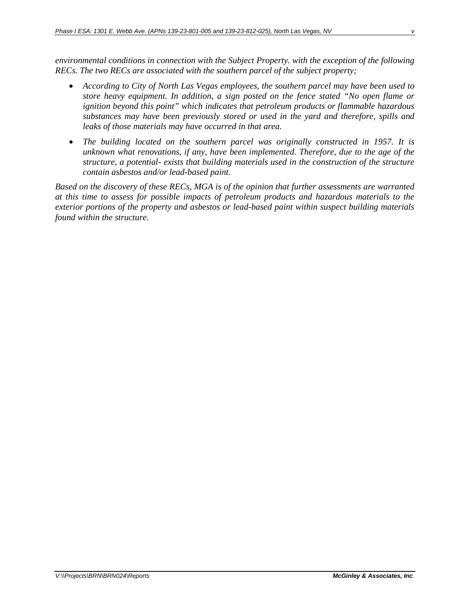*environmental conditions in connection with the Subject Property. with the exception of the following RECs. The two RECs are associated with the southern parcel of the subject property;*

- *According to City of North Las Vegas employees, the southern parcel may have been used to store heavy equipment. In addition, a sign posted on the fence stated "No open flame or ignition beyond this point" which indicates that petroleum products or flammable hazardous substances may have been previously stored or used in the yard and therefore, spills and leaks of those materials may have occurred in that area.*
- *The building located on the southern parcel was originally constructed in 1957. It is unknown what renovations, if any, have been implemented. Therefore, due to the age of the structure, a potential- exists that building materials used in the construction of the structure contain asbestos and/or lead-based paint.*

*Based on the discovery of these RECs, MGA is of the opinion that further assessments are warranted at this time to assess for possible impacts of petroleum products and hazardous materials to the exterior portions of the property and asbestos or lead-based paint within suspect building materials found within the structure.*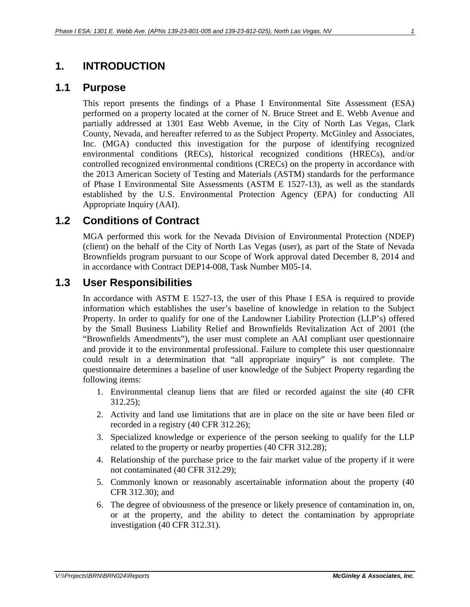### <span id="page-6-0"></span>**1. INTRODUCTION**

#### <span id="page-6-1"></span>**1.1 Purpose**

This report presents the findings of a Phase I Environmental Site Assessment (ESA) performed on a property located at the corner of N. Bruce Street and E. Webb Avenue and partially addressed at 1301 East Webb Avenue, in the City of North Las Vegas, Clark County, Nevada, and hereafter referred to as the Subject Property. McGinley and Associates, Inc. (MGA) conducted this investigation for the purpose of identifying recognized environmental conditions (RECs), historical recognized conditions (HRECs), and/or controlled recognized environmental conditions (CRECs) on the property in accordance with the 2013 American Society of Testing and Materials (ASTM) standards for the performance of Phase I Environmental Site Assessments (ASTM E 1527-13), as well as the standards established by the U.S. Environmental Protection Agency (EPA) for conducting All Appropriate Inquiry (AAI).

## <span id="page-6-2"></span>**1.2 Conditions of Contract**

MGA performed this work for the Nevada Division of Environmental Protection (NDEP) (client) on the behalf of the City of North Las Vegas (user), as part of the State of Nevada Brownfields program pursuant to our Scope of Work approval dated December 8, 2014 and in accordance with Contract DEP14-008, Task Number M05-14.

### <span id="page-6-3"></span>**1.3 User Responsibilities**

In accordance with ASTM E 1527-13, the user of this Phase I ESA is required to provide information which establishes the user's baseline of knowledge in relation to the Subject Property. In order to qualify for one of the Landowner Liability Protection (LLP's) offered by the Small Business Liability Relief and Brownfields Revitalization Act of 2001 (the "Brownfields Amendments"), the user must complete an AAI compliant user questionnaire and provide it to the environmental professional. Failure to complete this user questionnaire could result in a determination that "all appropriate inquiry" is not complete. The questionnaire determines a baseline of user knowledge of the Subject Property regarding the following items:

- 1. Environmental cleanup liens that are filed or recorded against the site (40 CFR 312.25);
- 2. Activity and land use limitations that are in place on the site or have been filed or recorded in a registry (40 CFR 312.26);
- 3. Specialized knowledge or experience of the person seeking to qualify for the LLP related to the property or nearby properties (40 CFR 312.28);
- 4. Relationship of the purchase price to the fair market value of the property if it were not contaminated (40 CFR 312.29);
- 5. Commonly known or reasonably ascertainable information about the property (40 CFR 312.30); and
- 6. The degree of obviousness of the presence or likely presence of contamination in, on, or at the property, and the ability to detect the contamination by appropriate investigation (40 CFR 312.31).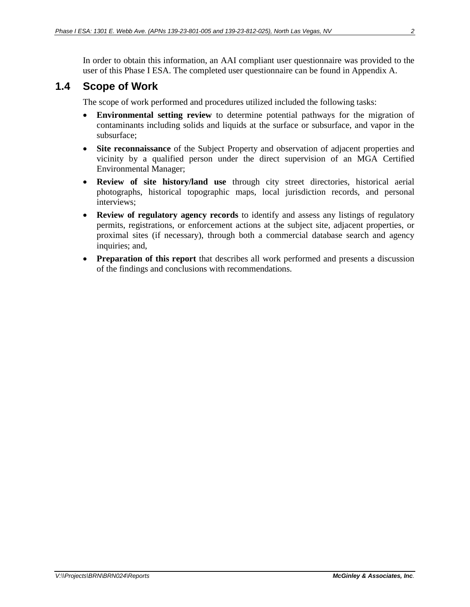In order to obtain this information, an AAI compliant user questionnaire was provided to the user of this Phase I ESA. The completed user questionnaire can be found in Appendix A.

## <span id="page-7-0"></span>**1.4 Scope of Work**

The scope of work performed and procedures utilized included the following tasks:

- **Environmental setting review** to determine potential pathways for the migration of contaminants including solids and liquids at the surface or subsurface, and vapor in the subsurface;
- **Site reconnaissance** of the Subject Property and observation of adjacent properties and vicinity by a qualified person under the direct supervision of an MGA Certified Environmental Manager;
- **Review of site history/land use** through city street directories, historical aerial photographs, historical topographic maps, local jurisdiction records, and personal interviews;
- **Review of regulatory agency records** to identify and assess any listings of regulatory permits, registrations, or enforcement actions at the subject site, adjacent properties, or proximal sites (if necessary), through both a commercial database search and agency inquiries; and,
- **Preparation of this report** that describes all work performed and presents a discussion of the findings and conclusions with recommendations.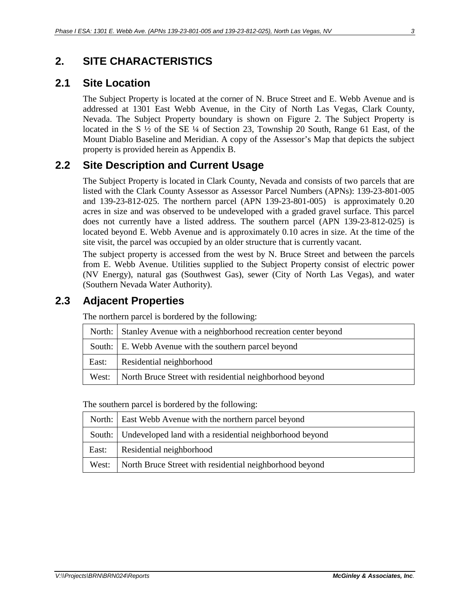# <span id="page-8-0"></span>**2. SITE CHARACTERISTICS**

### <span id="page-8-1"></span>**2.1 Site Location**

The Subject Property is located at the corner of N. Bruce Street and E. Webb Avenue and is addressed at 1301 East Webb Avenue, in the City of North Las Vegas, Clark County, Nevada. The Subject Property boundary is shown on Figure 2. The Subject Property is located in the S ½ of the SE ¼ of Section 23, Township 20 South, Range 61 East, of the Mount Diablo Baseline and Meridian. A copy of the Assessor's Map that depicts the subject property is provided herein as Appendix B.

# <span id="page-8-2"></span>**2.2 Site Description and Current Usage**

The Subject Property is located in Clark County, Nevada and consists of two parcels that are listed with the Clark County Assessor as Assessor Parcel Numbers (APNs): 139-23-801-005 and 139-23-812-025. The northern parcel (APN 139-23-801-005) is approximately 0.20 acres in size and was observed to be undeveloped with a graded gravel surface. This parcel does not currently have a listed address. The southern parcel (APN 139-23-812-025) is located beyond E. Webb Avenue and is approximately 0.10 acres in size. At the time of the site visit, the parcel was occupied by an older structure that is currently vacant.

The subject property is accessed from the west by N. Bruce Street and between the parcels from E. Webb Avenue. Utilities supplied to the Subject Property consist of electric power (NV Energy), natural gas (Southwest Gas), sewer (City of North Las Vegas), and water (Southern Nevada Water Authority).

### <span id="page-8-3"></span>**2.3 Adjacent Properties**

The northern parcel is bordered by the following:

|       | North: Stanley Avenue with a neighborhood recreation center beyond |  |  |
|-------|--------------------------------------------------------------------|--|--|
|       | South: E. Webb Avenue with the southern parcel beyond              |  |  |
| East: | Residential neighborhood                                           |  |  |
|       | West: North Bruce Street with residential neighborhood beyond      |  |  |

The southern parcel is bordered by the following:

| North: East Webb Avenue with the northern parcel beyond         |  |
|-----------------------------------------------------------------|--|
| South: Undeveloped land with a residential neighborhood beyond  |  |
| East: Residential neighborhood                                  |  |
| West:   North Bruce Street with residential neighborhood beyond |  |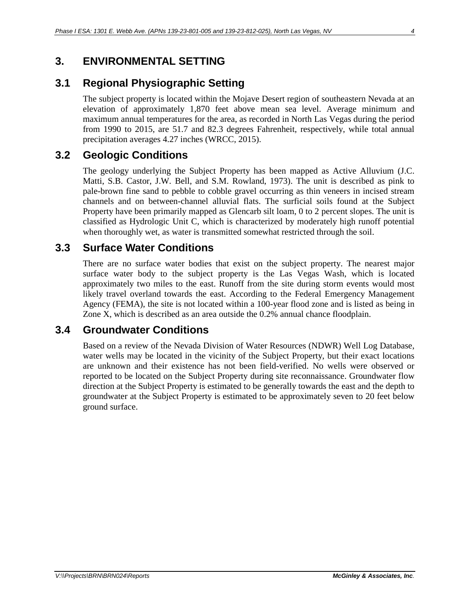# <span id="page-9-0"></span>**3. ENVIRONMENTAL SETTING**

# <span id="page-9-1"></span>**3.1 Regional Physiographic Setting**

The subject property is located within the Mojave Desert region of southeastern Nevada at an elevation of approximately 1,870 feet above mean sea level. Average minimum and maximum annual temperatures for the area, as recorded in North Las Vegas during the period from 1990 to 2015, are 51.7 and 82.3 degrees Fahrenheit, respectively, while total annual precipitation averages 4.27 inches (WRCC, 2015).

# <span id="page-9-2"></span>**3.2 Geologic Conditions**

The geology underlying the Subject Property has been mapped as Active Alluvium (J.C. Matti, S.B. Castor, J.W. Bell, and S.M. Rowland, 1973). The unit is described as pink to pale-brown fine sand to pebble to cobble gravel occurring as thin veneers in incised stream channels and on between-channel alluvial flats. The surficial soils found at the Subject Property have been primarily mapped as Glencarb silt loam, 0 to 2 percent slopes. The unit is classified as Hydrologic Unit C, which is characterized by moderately high runoff potential when thoroughly wet, as water is transmitted somewhat restricted through the soil.

# <span id="page-9-3"></span>**3.3 Surface Water Conditions**

There are no surface water bodies that exist on the subject property. The nearest major surface water body to the subject property is the Las Vegas Wash, which is located approximately two miles to the east. Runoff from the site during storm events would most likely travel overland towards the east. According to the Federal Emergency Management Agency (FEMA), the site is not located within a 100-year flood zone and is listed as being in Zone X, which is described as an area outside the 0.2% annual chance floodplain.

## <span id="page-9-4"></span>**3.4 Groundwater Conditions**

Based on a review of the Nevada Division of Water Resources (NDWR) Well Log Database, water wells may be located in the vicinity of the Subject Property, but their exact locations are unknown and their existence has not been field-verified. No wells were observed or reported to be located on the Subject Property during site reconnaissance. Groundwater flow direction at the Subject Property is estimated to be generally towards the east and the depth to groundwater at the Subject Property is estimated to be approximately seven to 20 feet below ground surface.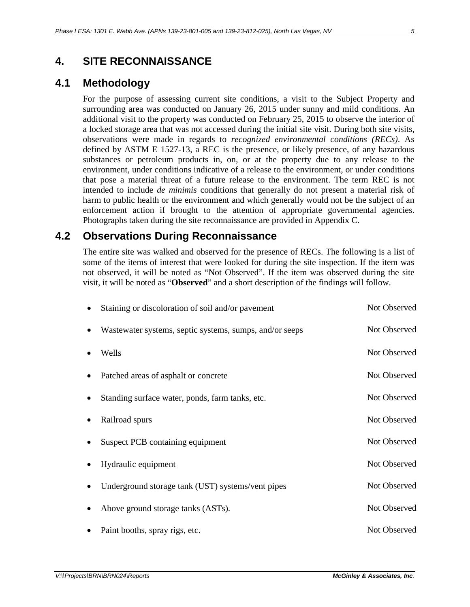## <span id="page-10-0"></span>**4. SITE RECONNAISSANCE**

### <span id="page-10-1"></span>**4.1 Methodology**

For the purpose of assessing current site conditions, a visit to the Subject Property and surrounding area was conducted on January 26, 2015 under sunny and mild conditions. An additional visit to the property was conducted on February 25, 2015 to observe the interior of a locked storage area that was not accessed during the initial site visit. During both site visits, observations were made in regards to *recognized environmental conditions (RECs)*. As defined by ASTM E 1527-13, a REC is the presence, or likely presence, of any hazardous substances or petroleum products in, on, or at the property due to any release to the environment, under conditions indicative of a release to the environment, or under conditions that pose a material threat of a future release to the environment. The term REC is not intended to include *de minimis* conditions that generally do not present a material risk of harm to public health or the environment and which generally would not be the subject of an enforcement action if brought to the attention of appropriate governmental agencies. Photographs taken during the site reconnaissance are provided in Appendix C.

### <span id="page-10-2"></span>**4.2 Observations During Reconnaissance**

The entire site was walked and observed for the presence of RECs. The following is a list of some of the items of interest that were looked for during the site inspection. If the item was not observed, it will be noted as "Not Observed". If the item was observed during the site visit, it will be noted as "**Observed**" and a short description of the findings will follow.

| Staining or discoloration of soil and/or pavement       | Not Observed |
|---------------------------------------------------------|--------------|
| Wastewater systems, septic systems, sumps, and/or seeps | Not Observed |
| Wells                                                   | Not Observed |
| Patched areas of asphalt or concrete                    | Not Observed |
| Standing surface water, ponds, farm tanks, etc.         | Not Observed |
| Railroad spurs                                          | Not Observed |
| Suspect PCB containing equipment                        | Not Observed |
| Hydraulic equipment                                     | Not Observed |
| Underground storage tank (UST) systems/vent pipes       | Not Observed |
| Above ground storage tanks (ASTs).                      | Not Observed |
| Paint booths, spray rigs, etc.                          | Not Observed |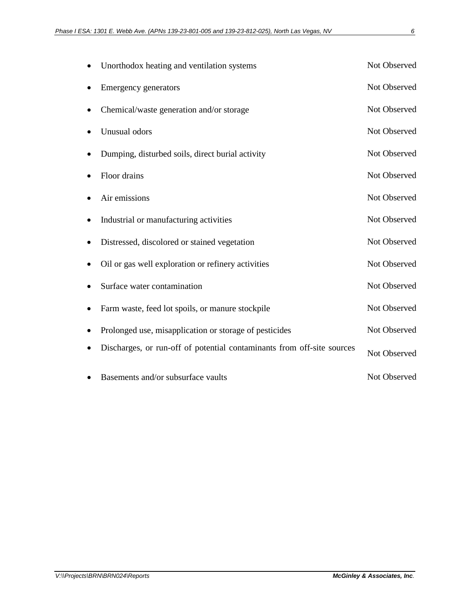| Unorthodox heating and ventilation systems                             | Not Observed |
|------------------------------------------------------------------------|--------------|
| Emergency generators                                                   | Not Observed |
| Chemical/waste generation and/or storage                               | Not Observed |
| Unusual odors                                                          | Not Observed |
| Dumping, disturbed soils, direct burial activity                       | Not Observed |
| Floor drains                                                           | Not Observed |
| Air emissions                                                          | Not Observed |
| Industrial or manufacturing activities                                 | Not Observed |
| Distressed, discolored or stained vegetation                           | Not Observed |
| Oil or gas well exploration or refinery activities                     | Not Observed |
| Surface water contamination                                            | Not Observed |
| Farm waste, feed lot spoils, or manure stockpile                       | Not Observed |
| Prolonged use, misapplication or storage of pesticides                 | Not Observed |
| Discharges, or run-off of potential contaminants from off-site sources | Not Observed |
| Basements and/or subsurface vaults                                     | Not Observed |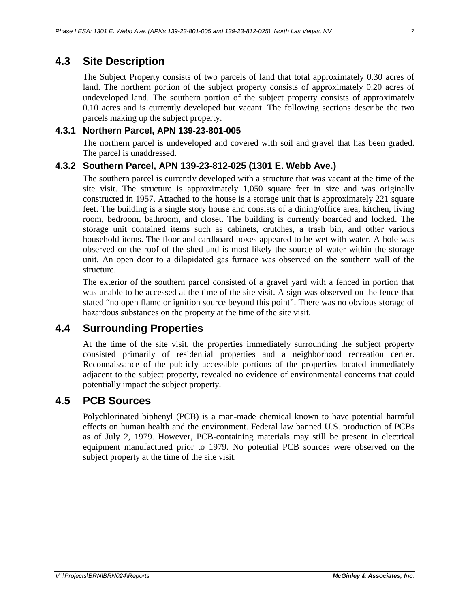# <span id="page-12-0"></span>**4.3 Site Description**

The Subject Property consists of two parcels of land that total approximately 0.30 acres of land. The northern portion of the subject property consists of approximately 0.20 acres of undeveloped land. The southern portion of the subject property consists of approximately 0.10 acres and is currently developed but vacant. The following sections describe the two parcels making up the subject property.

#### <span id="page-12-1"></span>**4.3.1 Northern Parcel, APN 139-23-801-005**

The northern parcel is undeveloped and covered with soil and gravel that has been graded. The parcel is unaddressed.

#### <span id="page-12-2"></span>**4.3.2 Southern Parcel, APN 139-23-812-025 (1301 E. Webb Ave.)**

The southern parcel is currently developed with a structure that was vacant at the time of the site visit. The structure is approximately 1,050 square feet in size and was originally constructed in 1957. Attached to the house is a storage unit that is approximately 221 square feet. The building is a single story house and consists of a dining/office area, kitchen, living room, bedroom, bathroom, and closet. The building is currently boarded and locked. The storage unit contained items such as cabinets, crutches, a trash bin, and other various household items. The floor and cardboard boxes appeared to be wet with water. A hole was observed on the roof of the shed and is most likely the source of water within the storage unit. An open door to a dilapidated gas furnace was observed on the southern wall of the structure.

The exterior of the southern parcel consisted of a gravel yard with a fenced in portion that was unable to be accessed at the time of the site visit. A sign was observed on the fence that stated "no open flame or ignition source beyond this point". There was no obvious storage of hazardous substances on the property at the time of the site visit.

# <span id="page-12-3"></span>**4.4 Surrounding Properties**

At the time of the site visit, the properties immediately surrounding the subject property consisted primarily of residential properties and a neighborhood recreation center. Reconnaissance of the publicly accessible portions of the properties located immediately adjacent to the subject property, revealed no evidence of environmental concerns that could potentially impact the subject property.

## <span id="page-12-4"></span>**4.5 PCB Sources**

Polychlorinated biphenyl (PCB) is a man-made chemical known to have potential harmful effects on human health and the environment. Federal law banned U.S. production of PCBs as of July 2, 1979. However, PCB-containing materials may still be present in electrical equipment manufactured prior to 1979. No potential PCB sources were observed on the subject property at the time of the site visit.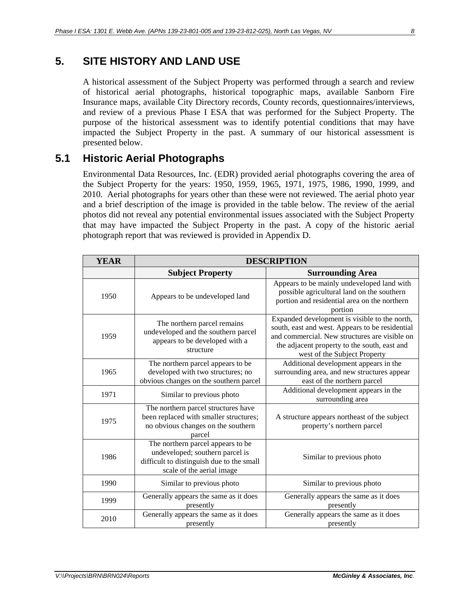# <span id="page-13-0"></span>**5. SITE HISTORY AND LAND USE**

A historical assessment of the Subject Property was performed through a search and review of historical aerial photographs, historical topographic maps, available Sanborn Fire Insurance maps, available City Directory records, County records, questionnaires/interviews, and review of a previous Phase I ESA that was performed for the Subject Property. The purpose of the historical assessment was to identify potential conditions that may have impacted the Subject Property in the past. A summary of our historical assessment is presented below.

# <span id="page-13-1"></span>**5.1 Historic Aerial Photographs**

Environmental Data Resources, Inc. (EDR) provided aerial photographs covering the area of the Subject Property for the years: 1950, 1959, 1965, 1971, 1975, 1986, 1990, 1999, and 2010. Aerial photographs for years other than these were not reviewed. The aerial photo year and a brief description of the image is provided in the table below. The review of the aerial photos did not reveal any potential environmental issues associated with the Subject Property that may have impacted the Subject Property in the past. A copy of the historic aerial photograph report that was reviewed is provided in Appendix D.

| <b>YEAR</b> | <b>DESCRIPTION</b>                                                                                                                             |                                                                                                                                                                                                                                   |  |
|-------------|------------------------------------------------------------------------------------------------------------------------------------------------|-----------------------------------------------------------------------------------------------------------------------------------------------------------------------------------------------------------------------------------|--|
|             | <b>Subject Property</b>                                                                                                                        | <b>Surrounding Area</b>                                                                                                                                                                                                           |  |
| 1950        | Appears to be undeveloped land                                                                                                                 | Appears to be mainly undeveloped land with<br>possible agricultural land on the southern<br>portion and residential area on the northern<br>portion                                                                               |  |
| 1959        | The northern parcel remains<br>undeveloped and the southern parcel<br>appears to be developed with a<br>structure                              | Expanded development is visible to the north,<br>south, east and west. Appears to be residential<br>and commercial. New structures are visible on<br>the adjacent property to the south, east and<br>west of the Subject Property |  |
| 1965        | The northern parcel appears to be<br>developed with two structures; no<br>obvious changes on the southern parcel                               | Additional development appears in the<br>surrounding area, and new structures appear<br>east of the northern parcel                                                                                                               |  |
| 1971        | Similar to previous photo                                                                                                                      | Additional development appears in the<br>surrounding area                                                                                                                                                                         |  |
| 1975        | The northern parcel structures have<br>been replaced with smaller structures;<br>no obvious changes on the southern<br>parcel                  | A structure appears northeast of the subject<br>property's northern parcel                                                                                                                                                        |  |
| 1986        | The northern parcel appears to be<br>undeveloped; southern parcel is<br>difficult to distinguish due to the small<br>scale of the aerial image | Similar to previous photo                                                                                                                                                                                                         |  |
| 1990        | Similar to previous photo                                                                                                                      | Similar to previous photo                                                                                                                                                                                                         |  |
| 1999        | Generally appears the same as it does<br>presently                                                                                             | Generally appears the same as it does<br>presently                                                                                                                                                                                |  |
| 2010        | Generally appears the same as it does<br>presently                                                                                             | Generally appears the same as it does<br>presently                                                                                                                                                                                |  |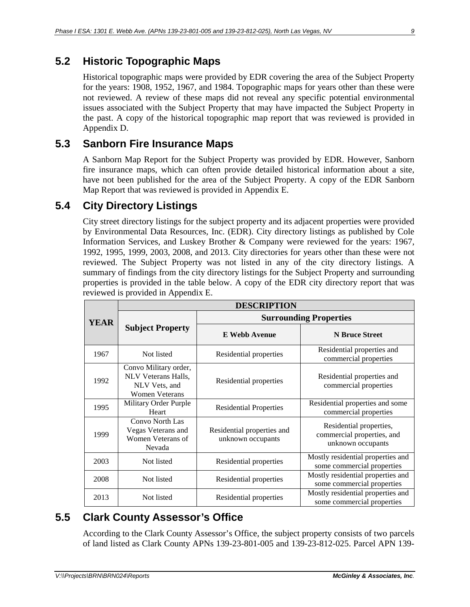# <span id="page-14-0"></span>**5.2 Historic Topographic Maps**

Historical topographic maps were provided by EDR covering the area of the Subject Property for the years: 1908, 1952, 1967, and 1984. Topographic maps for years other than these were not reviewed. A review of these maps did not reveal any specific potential environmental issues associated with the Subject Property that may have impacted the Subject Property in the past. A copy of the historical topographic map report that was reviewed is provided in Appendix D.

# <span id="page-14-1"></span>**5.3 Sanborn Fire Insurance Maps**

A Sanborn Map Report for the Subject Property was provided by EDR. However, Sanborn fire insurance maps, which can often provide detailed historical information about a site, have not been published for the area of the Subject Property. A copy of the EDR Sanborn Map Report that was reviewed is provided in Appendix E.

# <span id="page-14-2"></span>**5.4 City Directory Listings**

City street directory listings for the subject property and its adjacent properties were provided by Environmental Data Resources, Inc. (EDR). City directory listings as published by Cole Information Services, and Luskey Brother & Company were reviewed for the years: 1967, 1992, 1995, 1999, 2003, 2008, and 2013. City directories for years other than these were not reviewed. The Subject Property was not listed in any of the city directory listings. A summary of findings from the city directory listings for the Subject Property and surrounding properties is provided in the table below. A copy of the EDR city directory report that was reviewed is provided in Appendix E.

|             | <b>DESCRIPTION</b>                                                                            |                                                 |                                                                            |  |
|-------------|-----------------------------------------------------------------------------------------------|-------------------------------------------------|----------------------------------------------------------------------------|--|
| <b>YEAR</b> |                                                                                               | <b>Surrounding Properties</b>                   |                                                                            |  |
|             | <b>Subject Property</b>                                                                       | <b>E</b> Webb Avenue                            | <b>N</b> Bruce Street                                                      |  |
| 1967        | Not listed                                                                                    | Residential properties                          | Residential properties and<br>commercial properties                        |  |
| 1992        | Convo Military order,<br><b>NLV</b> Veterans Halls.<br>NLV Vets, and<br><b>Women Veterans</b> | Residential properties                          | Residential properties and<br>commercial properties                        |  |
| 1995        | Military Order Purple<br>Heart                                                                | <b>Residential Properties</b>                   | Residential properties and some<br>commercial properties                   |  |
| 1999        | Convo North Las<br>Vegas Veterans and<br>Women Veterans of<br>Nevada                          | Residential properties and<br>unknown occupants | Residential properties,<br>commercial properties, and<br>unknown occupants |  |
| 2003        | Not listed                                                                                    | Residential properties                          | Mostly residential properties and<br>some commercial properties            |  |
| 2008        | Not listed                                                                                    | Residential properties                          | Mostly residential properties and<br>some commercial properties            |  |
| 2013        | Not listed                                                                                    | Residential properties                          | Mostly residential properties and<br>some commercial properties            |  |

# <span id="page-14-3"></span>**5.5 Clark County Assessor's Office**

According to the Clark County Assessor's Office, the subject property consists of two parcels of land listed as Clark County APNs 139-23-801-005 and 139-23-812-025. Parcel APN 139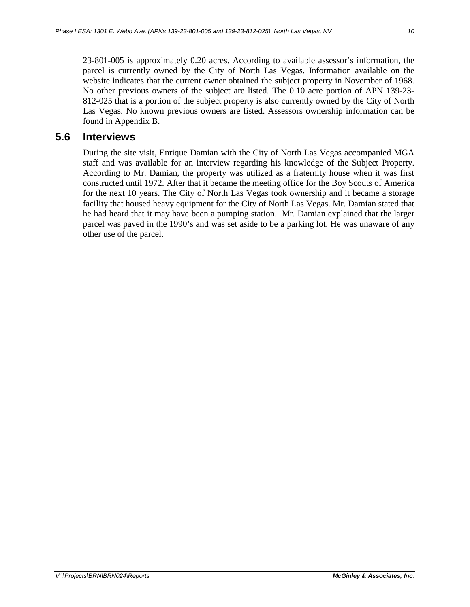23-801-005 is approximately 0.20 acres. According to available assessor's information, the parcel is currently owned by the City of North Las Vegas. Information available on the website indicates that the current owner obtained the subject property in November of 1968. No other previous owners of the subject are listed. The 0.10 acre portion of APN 139-23- 812-025 that is a portion of the subject property is also currently owned by the City of North Las Vegas. No known previous owners are listed. Assessors ownership information can be found in Appendix B.

#### <span id="page-15-0"></span>**5.6 Interviews**

During the site visit, Enrique Damian with the City of North Las Vegas accompanied MGA staff and was available for an interview regarding his knowledge of the Subject Property. According to Mr. Damian, the property was utilized as a fraternity house when it was first constructed until 1972. After that it became the meeting office for the Boy Scouts of America for the next 10 years. The City of North Las Vegas took ownership and it became a storage facility that housed heavy equipment for the City of North Las Vegas. Mr. Damian stated that he had heard that it may have been a pumping station. Mr. Damian explained that the larger parcel was paved in the 1990's and was set aside to be a parking lot. He was unaware of any other use of the parcel.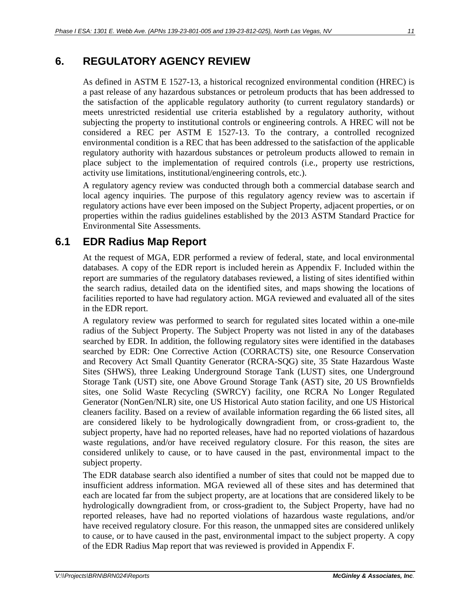# <span id="page-16-0"></span>**6. REGULATORY AGENCY REVIEW**

As defined in ASTM E 1527-13, a historical recognized environmental condition (HREC) is a past release of any hazardous substances or petroleum products that has been addressed to the satisfaction of the applicable regulatory authority (to current regulatory standards) or meets unrestricted residential use criteria established by a regulatory authority, without subjecting the property to institutional controls or engineering controls. A HREC will not be considered a REC per ASTM E 1527-13. To the contrary, a controlled recognized environmental condition is a REC that has been addressed to the satisfaction of the applicable regulatory authority with hazardous substances or petroleum products allowed to remain in place subject to the implementation of required controls (i.e., property use restrictions, activity use limitations, institutional/engineering controls, etc.).

A regulatory agency review was conducted through both a commercial database search and local agency inquiries. The purpose of this regulatory agency review was to ascertain if regulatory actions have ever been imposed on the Subject Property, adjacent properties, or on properties within the radius guidelines established by the 2013 ASTM Standard Practice for Environmental Site Assessments.

# <span id="page-16-1"></span>**6.1 EDR Radius Map Report**

At the request of MGA, EDR performed a review of federal, state, and local environmental databases. A copy of the EDR report is included herein as Appendix F. Included within the report are summaries of the regulatory databases reviewed, a listing of sites identified within the search radius, detailed data on the identified sites, and maps showing the locations of facilities reported to have had regulatory action. MGA reviewed and evaluated all of the sites in the EDR report.

A regulatory review was performed to search for regulated sites located within a one-mile radius of the Subject Property. The Subject Property was not listed in any of the databases searched by EDR. In addition, the following regulatory sites were identified in the databases searched by EDR: One Corrective Action (CORRACTS) site, one Resource Conservation and Recovery Act Small Quantity Generator (RCRA-SQG) site, 35 State Hazardous Waste Sites (SHWS), three Leaking Underground Storage Tank (LUST) sites, one Underground Storage Tank (UST) site, one Above Ground Storage Tank (AST) site, 20 US Brownfields sites, one Solid Waste Recycling (SWRCY) facility, one RCRA No Longer Regulated Generator (NonGen/NLR) site, one US Historical Auto station facility, and one US Historical cleaners facility. Based on a review of available information regarding the 66 listed sites, all are considered likely to be hydrologically downgradient from, or cross-gradient to, the subject property, have had no reported releases, have had no reported violations of hazardous waste regulations, and/or have received regulatory closure. For this reason, the sites are considered unlikely to cause, or to have caused in the past, environmental impact to the subject property.

The EDR database search also identified a number of sites that could not be mapped due to insufficient address information. MGA reviewed all of these sites and has determined that each are located far from the subject property, are at locations that are considered likely to be hydrologically downgradient from, or cross-gradient to, the Subject Property, have had no reported releases, have had no reported violations of hazardous waste regulations, and/or have received regulatory closure. For this reason, the unmapped sites are considered unlikely to cause, or to have caused in the past, environmental impact to the subject property. A copy of the EDR Radius Map report that was reviewed is provided in Appendix F.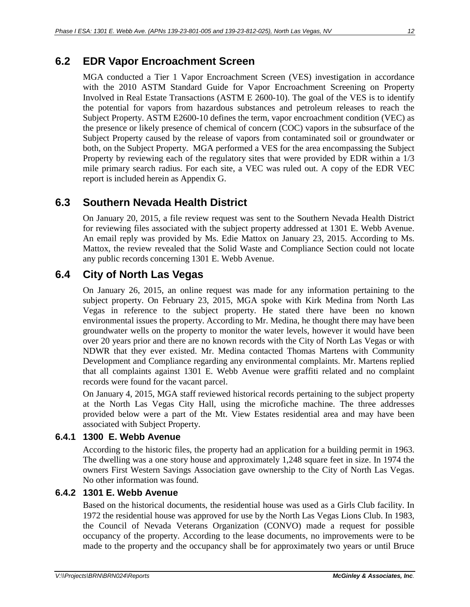# <span id="page-17-0"></span>**6.2 EDR Vapor Encroachment Screen**

MGA conducted a Tier 1 Vapor Encroachment Screen (VES) investigation in accordance with the 2010 ASTM Standard Guide for Vapor Encroachment Screening on Property Involved in Real Estate Transactions (ASTM E 2600-10). The goal of the VES is to identify the potential for vapors from hazardous substances and petroleum releases to reach the Subject Property. ASTM E2600-10 defines the term, vapor encroachment condition (VEC) as the presence or likely presence of chemical of concern (COC) vapors in the subsurface of the Subject Property caused by the release of vapors from contaminated soil or groundwater or both, on the Subject Property. MGA performed a VES for the area encompassing the Subject Property by reviewing each of the regulatory sites that were provided by EDR within a 1/3 mile primary search radius. For each site, a VEC was ruled out. A copy of the EDR VEC report is included herein as Appendix G.

# <span id="page-17-1"></span>**6.3 Southern Nevada Health District**

On January 20, 2015, a file review request was sent to the Southern Nevada Health District for reviewing files associated with the subject property addressed at 1301 E. Webb Avenue. An email reply was provided by Ms. Edie Mattox on January 23, 2015. According to Ms. Mattox, the review revealed that the Solid Waste and Compliance Section could not locate any public records concerning 1301 E. Webb Avenue.

# <span id="page-17-2"></span>**6.4 City of North Las Vegas**

On January 26, 2015, an online request was made for any information pertaining to the subject property. On February 23, 2015, MGA spoke with Kirk Medina from North Las Vegas in reference to the subject property. He stated there have been no known environmental issues the property. According to Mr. Medina, he thought there may have been groundwater wells on the property to monitor the water levels, however it would have been over 20 years prior and there are no known records with the City of North Las Vegas or with NDWR that they ever existed. Mr. Medina contacted Thomas Martens with Community Development and Compliance regarding any environmental complaints. Mr. Martens replied that all complaints against 1301 E. Webb Avenue were graffiti related and no complaint records were found for the vacant parcel.

On January 4, 2015, MGA staff reviewed historical records pertaining to the subject property at the North Las Vegas City Hall, using the microfiche machine. The three addresses provided below were a part of the Mt. View Estates residential area and may have been associated with Subject Property.

#### <span id="page-17-3"></span>**6.4.1 1300 E. Webb Avenue**

According to the historic files, the property had an application for a building permit in 1963. The dwelling was a one story house and approximately 1,248 square feet in size. In 1974 the owners First Western Savings Association gave ownership to the City of North Las Vegas. No other information was found.

#### <span id="page-17-4"></span>**6.4.2 1301 E. Webb Avenue**

Based on the historical documents, the residential house was used as a Girls Club facility. In 1972 the residential house was approved for use by the North Las Vegas Lions Club. In 1983, the Council of Nevada Veterans Organization (CONVO) made a request for possible occupancy of the property. According to the lease documents, no improvements were to be made to the property and the occupancy shall be for approximately two years or until Bruce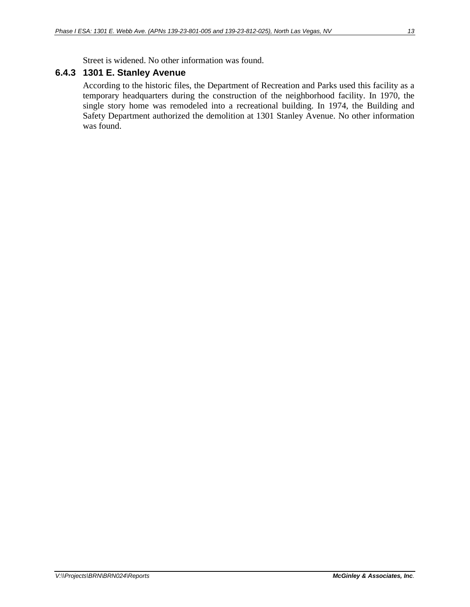Street is widened. No other information was found.

#### <span id="page-18-0"></span>**6.4.3 1301 E. Stanley Avenue**

According to the historic files, the Department of Recreation and Parks used this facility as a temporary headquarters during the construction of the neighborhood facility. In 1970, the single story home was remodeled into a recreational building. In 1974, the Building and Safety Department authorized the demolition at 1301 Stanley Avenue. No other information was found.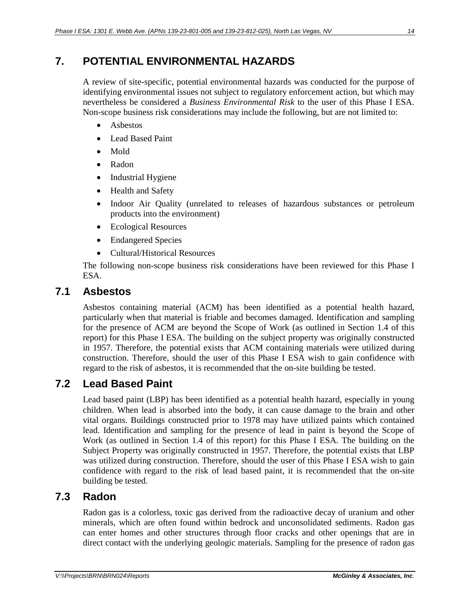# <span id="page-19-0"></span>**7. POTENTIAL ENVIRONMENTAL HAZARDS**

A review of site-specific, potential environmental hazards was conducted for the purpose of identifying environmental issues not subject to regulatory enforcement action, but which may nevertheless be considered a *Business Environmental Risk* to the user of this Phase I ESA. Non-scope business risk considerations may include the following, but are not limited to:

- Asbestos
- Lead Based Paint
- Mold
- Radon
- Industrial Hygiene
- Health and Safety
- Indoor Air Quality (unrelated to releases of hazardous substances or petroleum products into the environment)
- Ecological Resources
- Endangered Species
- Cultural/Historical Resources

The following non-scope business risk considerations have been reviewed for this Phase I ESA.

#### <span id="page-19-1"></span>**7.1 Asbestos**

Asbestos containing material (ACM) has been identified as a potential health hazard, particularly when that material is friable and becomes damaged. Identification and sampling for the presence of ACM are beyond the Scope of Work (as outlined in Section 1.4 of this report) for this Phase I ESA. The building on the subject property was originally constructed in 1957. Therefore, the potential exists that ACM containing materials were utilized during construction. Therefore, should the user of this Phase I ESA wish to gain confidence with regard to the risk of asbestos, it is recommended that the on-site building be tested.

## <span id="page-19-2"></span>**7.2 Lead Based Paint**

Lead based paint (LBP) has been identified as a potential health hazard, especially in young children. When lead is absorbed into the body, it can cause damage to the brain and other vital organs. Buildings constructed prior to 1978 may have utilized paints which contained lead. Identification and sampling for the presence of lead in paint is beyond the Scope of Work (as outlined in Section 1.4 of this report) for this Phase I ESA. The building on the Subject Property was originally constructed in 1957. Therefore, the potential exists that LBP was utilized during construction. Therefore, should the user of this Phase I ESA wish to gain confidence with regard to the risk of lead based paint, it is recommended that the on-site building be tested.

## <span id="page-19-3"></span>**7.3 Radon**

Radon gas is a colorless, toxic gas derived from the radioactive decay of uranium and other minerals, which are often found within bedrock and unconsolidated sediments. Radon gas can enter homes and other structures through floor cracks and other openings that are in direct contact with the underlying geologic materials. Sampling for the presence of radon gas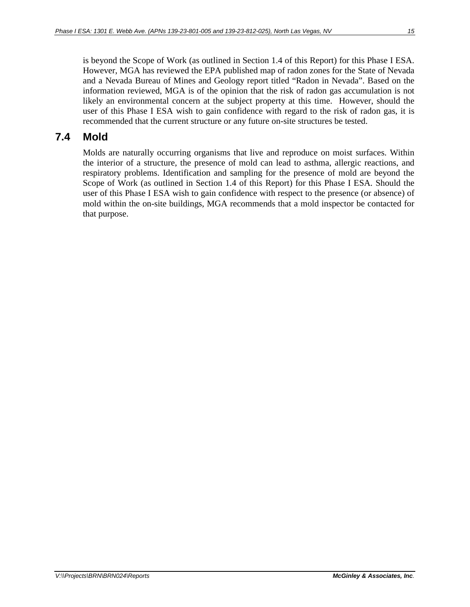is beyond the Scope of Work (as outlined in Section 1.4 of this Report) for this Phase I ESA. However, MGA has reviewed the EPA published map of radon zones for the State of Nevada and a Nevada Bureau of Mines and Geology report titled "Radon in Nevada". Based on the information reviewed, MGA is of the opinion that the risk of radon gas accumulation is not likely an environmental concern at the subject property at this time. However, should the user of this Phase I ESA wish to gain confidence with regard to the risk of radon gas, it is recommended that the current structure or any future on-site structures be tested.

### <span id="page-20-0"></span>**7.4 Mold**

Molds are naturally occurring organisms that live and reproduce on moist surfaces. Within the interior of a structure, the presence of mold can lead to asthma, allergic reactions, and respiratory problems. Identification and sampling for the presence of mold are beyond the Scope of Work (as outlined in Section 1.4 of this Report) for this Phase I ESA. Should the user of this Phase I ESA wish to gain confidence with respect to the presence (or absence) of mold within the on-site buildings, MGA recommends that a mold inspector be contacted for that purpose.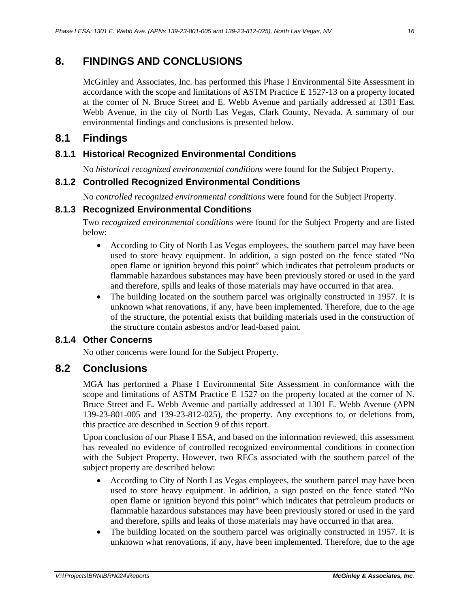# <span id="page-21-0"></span>**8. FINDINGS AND CONCLUSIONS**

McGinley and Associates, Inc. has performed this Phase I Environmental Site Assessment in accordance with the scope and limitations of ASTM Practice E 1527-13 on a property located at the corner of N. Bruce Street and E. Webb Avenue and partially addressed at 1301 East Webb Avenue, in the city of North Las Vegas, Clark County, Nevada. A summary of our environmental findings and conclusions is presented below.

# <span id="page-21-1"></span>**8.1 Findings**

#### <span id="page-21-2"></span>**8.1.1 Historical Recognized Environmental Conditions**

No *historical recognized environmental conditions* were found for the Subject Property.

#### <span id="page-21-3"></span>**8.1.2 Controlled Recognized Environmental Conditions**

No *controlled recognized environmental conditions* were found for the Subject Property.

#### <span id="page-21-4"></span>**8.1.3 Recognized Environmental Conditions**

Two *recognized environmental conditions* were found for the Subject Property and are listed below:

- According to City of North Las Vegas employees, the southern parcel may have been used to store heavy equipment. In addition, a sign posted on the fence stated "No open flame or ignition beyond this point" which indicates that petroleum products or flammable hazardous substances may have been previously stored or used in the yard and therefore, spills and leaks of those materials may have occurred in that area.
- The building located on the southern parcel was originally constructed in 1957. It is unknown what renovations, if any, have been implemented. Therefore, due to the age of the structure, the potential exists that building materials used in the construction of the structure contain asbestos and/or lead-based paint.

#### **8.1.4 Other Concerns**

No other concerns were found for the Subject Property.

## <span id="page-21-5"></span>**8.2 Conclusions**

MGA has performed a Phase I Environmental Site Assessment in conformance with the scope and limitations of ASTM Practice E 1527 on the property located at the corner of N. Bruce Street and E. Webb Avenue and partially addressed at 1301 E. Webb Avenue (APN 139-23-801-005 and 139-23-812-025), the property. Any exceptions to, or deletions from, this practice are described in Section 9 of this report.

Upon conclusion of our Phase I ESA, and based on the information reviewed, this assessment has revealed no evidence of controlled recognized environmental conditions in connection with the Subject Property. However, two RECs associated with the southern parcel of the subject property are described below:

- According to City of North Las Vegas employees, the southern parcel may have been used to store heavy equipment. In addition, a sign posted on the fence stated "No open flame or ignition beyond this point" which indicates that petroleum products or flammable hazardous substances may have been previously stored or used in the yard and therefore, spills and leaks of those materials may have occurred in that area.
- The building located on the southern parcel was originally constructed in 1957. It is unknown what renovations, if any, have been implemented. Therefore, due to the age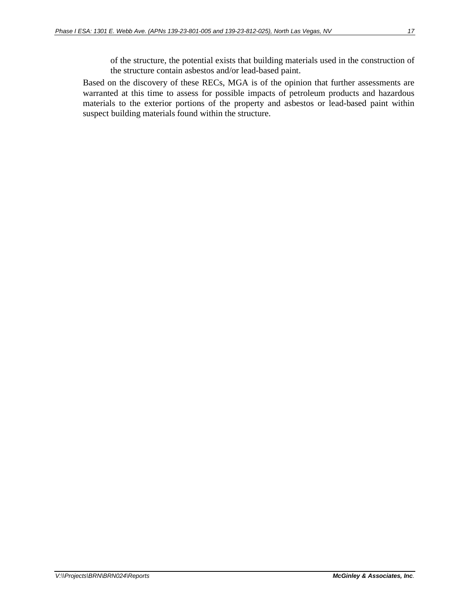of the structure, the potential exists that building materials used in the construction of the structure contain asbestos and/or lead-based paint.

Based on the discovery of these RECs, MGA is of the opinion that further assessments are warranted at this time to assess for possible impacts of petroleum products and hazardous materials to the exterior portions of the property and asbestos or lead-based paint within suspect building materials found within the structure.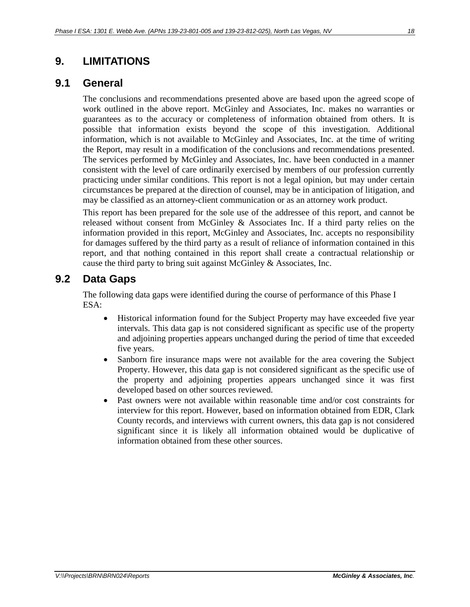## <span id="page-23-0"></span>**9. LIMITATIONS**

#### <span id="page-23-1"></span>**9.1 General**

The conclusions and recommendations presented above are based upon the agreed scope of work outlined in the above report. McGinley and Associates, Inc. makes no warranties or guarantees as to the accuracy or completeness of information obtained from others. It is possible that information exists beyond the scope of this investigation. Additional information, which is not available to McGinley and Associates, Inc. at the time of writing the Report, may result in a modification of the conclusions and recommendations presented. The services performed by McGinley and Associates, Inc. have been conducted in a manner consistent with the level of care ordinarily exercised by members of our profession currently practicing under similar conditions. This report is not a legal opinion, but may under certain circumstances be prepared at the direction of counsel, may be in anticipation of litigation, and may be classified as an attorney-client communication or as an attorney work product.

This report has been prepared for the sole use of the addressee of this report, and cannot be released without consent from McGinley  $\&$  Associates Inc. If a third party relies on the information provided in this report, McGinley and Associates, Inc. accepts no responsibility for damages suffered by the third party as a result of reliance of information contained in this report, and that nothing contained in this report shall create a contractual relationship or cause the third party to bring suit against McGinley & Associates, Inc.

#### <span id="page-23-2"></span>**9.2 Data Gaps**

The following data gaps were identified during the course of performance of this Phase I ESA:

- Historical information found for the Subject Property may have exceeded five year intervals. This data gap is not considered significant as specific use of the property and adjoining properties appears unchanged during the period of time that exceeded five years.
- Sanborn fire insurance maps were not available for the area covering the Subject Property. However, this data gap is not considered significant as the specific use of the property and adjoining properties appears unchanged since it was first developed based on other sources reviewed.
- Past owners were not available within reasonable time and/or cost constraints for interview for this report. However, based on information obtained from EDR, Clark County records, and interviews with current owners, this data gap is not considered significant since it is likely all information obtained would be duplicative of information obtained from these other sources.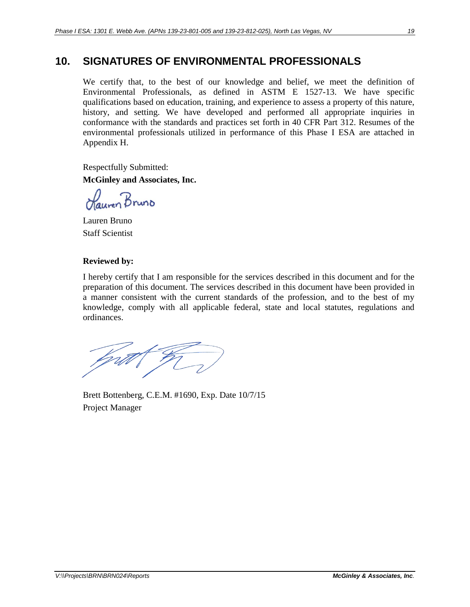# <span id="page-24-0"></span>**10. SIGNATURES OF ENVIRONMENTAL PROFESSIONALS**

We certify that, to the best of our knowledge and belief, we meet the definition of Environmental Professionals, as defined in ASTM E 1527-13. We have specific qualifications based on education, training, and experience to assess a property of this nature, history, and setting. We have developed and performed all appropriate inquiries in conformance with the standards and practices set forth in 40 CFR Part 312. Resumes of the environmental professionals utilized in performance of this Phase I ESA are attached in Appendix H.

Respectfully Submitted: **McGinley and Associates, Inc.**

Hauren Bruno

Lauren Bruno Staff Scientist

#### **Reviewed by:**

I hereby certify that I am responsible for the services described in this document and for the preparation of this document. The services described in this document have been provided in a manner consistent with the current standards of the profession, and to the best of my knowledge, comply with all applicable federal, state and local statutes, regulations and ordinances.

bprill (

Brett Bottenberg, C.E.M. #1690, Exp. Date 10/7/15 Project Manager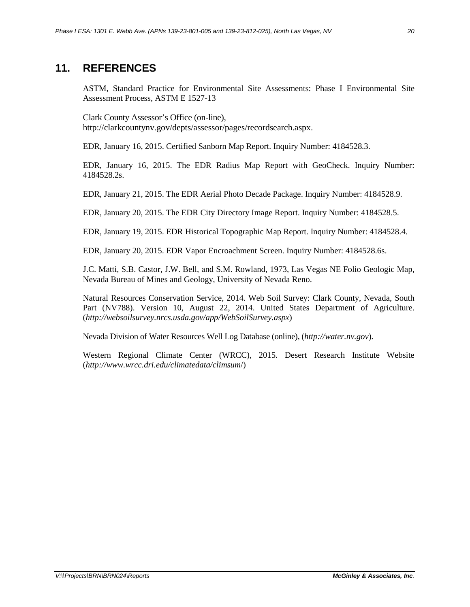### <span id="page-25-0"></span>**11. REFERENCES**

ASTM, Standard Practice for Environmental Site Assessments: Phase I Environmental Site Assessment Process, ASTM E 1527-13

Clark County Assessor's Office (on-line), http://clarkcountynv.gov/depts/assessor/pages/recordsearch.aspx.

EDR, January 16, 2015. Certified Sanborn Map Report. Inquiry Number: 4184528.3.

EDR, January 16, 2015. The EDR Radius Map Report with GeoCheck. Inquiry Number: 4184528.2s.

EDR, January 21, 2015. The EDR Aerial Photo Decade Package. Inquiry Number: 4184528.9.

EDR, January 20, 2015. The EDR City Directory Image Report. Inquiry Number: 4184528.5.

EDR, January 19, 2015. EDR Historical Topographic Map Report. Inquiry Number: 4184528.4.

EDR, January 20, 2015. EDR Vapor Encroachment Screen. Inquiry Number: 4184528.6s.

J.C. Matti, S.B. Castor, J.W. Bell, and S.M. Rowland, 1973, Las Vegas NE Folio Geologic Map, Nevada Bureau of Mines and Geology, University of Nevada Reno.

Natural Resources Conservation Service, 2014. Web Soil Survey: Clark County, Nevada, South Part (NV788). Version 10, August 22, 2014. United States Department of Agriculture. (*http://websoilsurvey.nrcs.usda.gov/app/WebSoilSurvey.aspx*)

Nevada Division of Water Resources Well Log Database (online), (*http://water.nv.gov*).

Western Regional Climate Center (WRCC), 2015. Desert Research Institute Website (*http://www.wrcc.dri.edu/climatedata/climsum*/)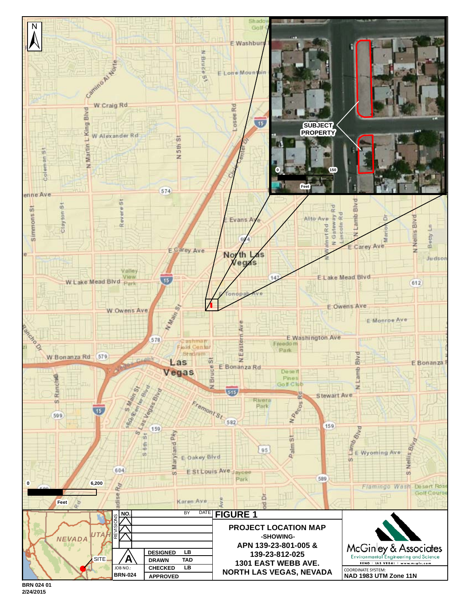

**BRN 024 01 2/24/2015**